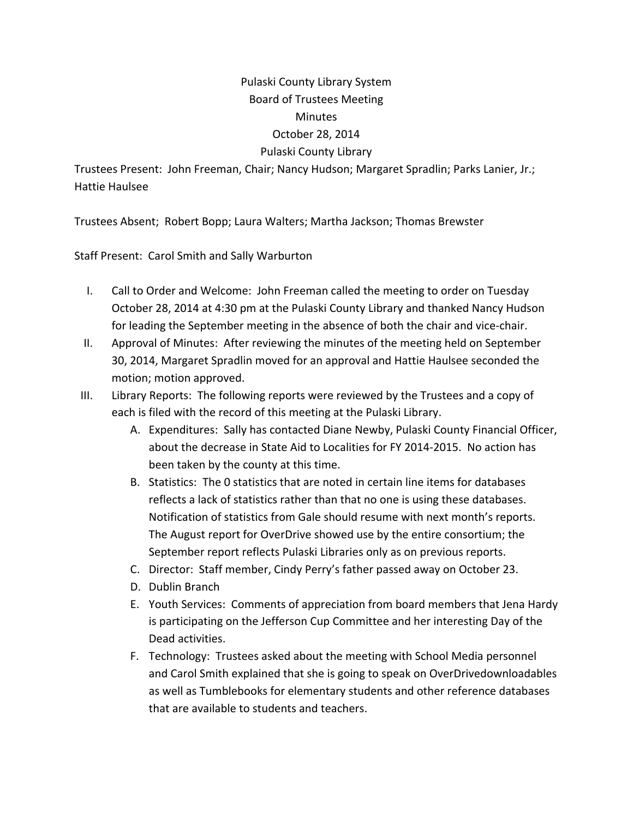## Pulaski County Library System Board of Trustees Meeting Minutes October 28, 2014 Pulaski County Library

Trustees Present: John Freeman, Chair; Nancy Hudson; Margaret Spradlin; Parks Lanier, Jr.; Hattie Haulsee

Trustees Absent; Robert Bopp; Laura Walters; Martha Jackson; Thomas Brewster

Staff Present: Carol Smith and Sally Warburton

- I. Call to Order and Welcome: John Freeman called the meeting to order on Tuesday October 28, 2014 at 4:30 pm at the Pulaski County Library and thanked Nancy Hudson for leading the September meeting in the absence of both the chair and vice-chair.
- II. Approval of Minutes: After reviewing the minutes of the meeting held on September 30, 2014, Margaret Spradlin moved for an approval and Hattie Haulsee seconded the motion; motion approved.
- III. Library Reports: The following reports were reviewed by the Trustees and a copy of each is filed with the record of this meeting at the Pulaski Library.
	- A. Expenditures: Sally has contacted Diane Newby, Pulaski County Financial Officer, about the decrease in State Aid to Localities for FY 2014‐2015. No action has been taken by the county at this time.
	- B. Statistics: The 0 statistics that are noted in certain line items for databases reflects a lack of statistics rather than that no one is using these databases. Notification of statistics from Gale should resume with next month's reports. The August report for OverDrive showed use by the entire consortium; the September report reflects Pulaski Libraries only as on previous reports.
	- C. Director: Staff member, Cindy Perry's father passed away on October 23.
	- D. Dublin Branch
	- E. Youth Services: Comments of appreciation from board members that Jena Hardy is participating on the Jefferson Cup Committee and her interesting Day of the Dead activities.
	- F. Technology: Trustees asked about the meeting with School Media personnel and Carol Smith explained that she is going to speak on OverDrivedownloadables as well as Tumblebooks for elementary students and other reference databases that are available to students and teachers.